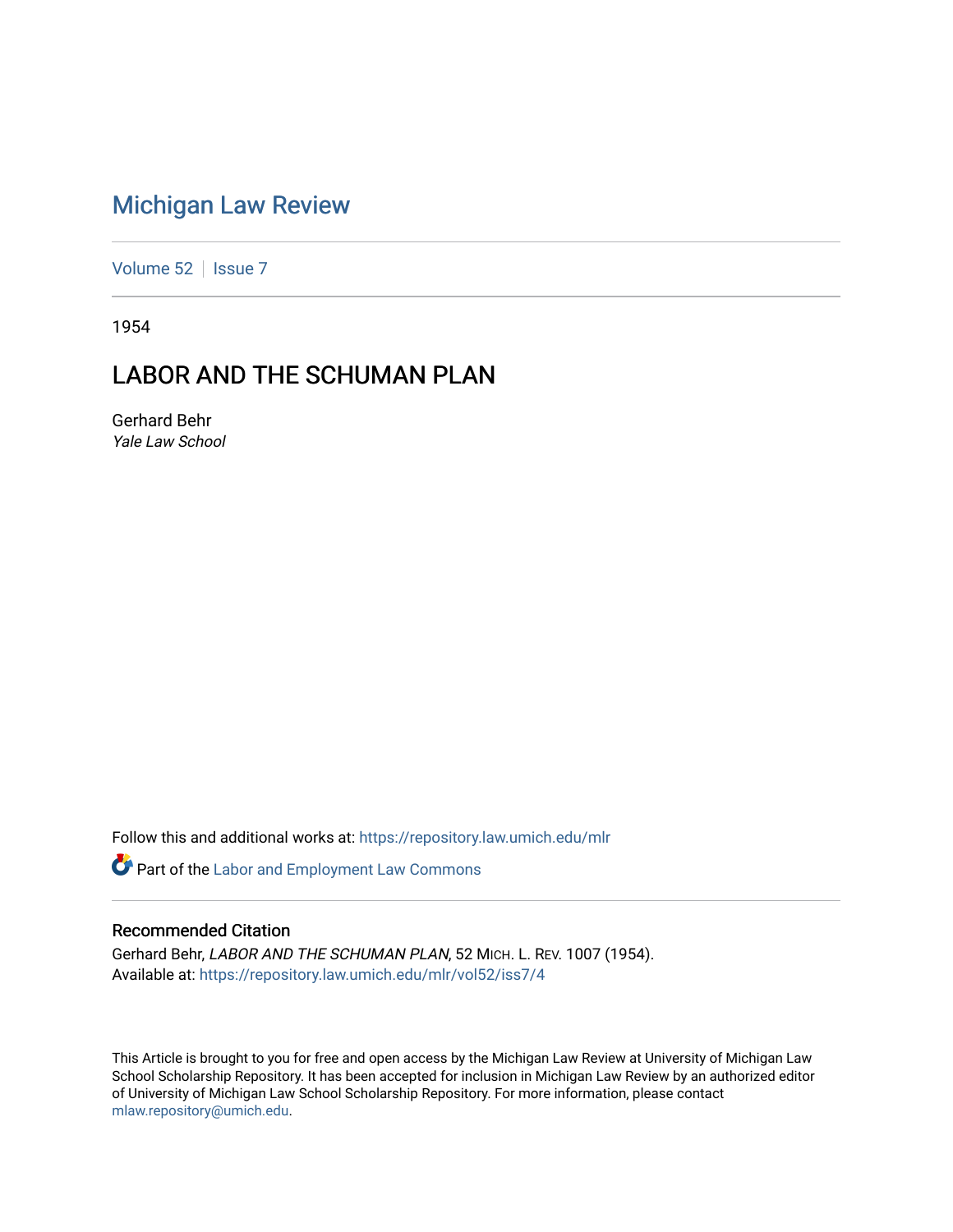# [Michigan Law Review](https://repository.law.umich.edu/mlr)

[Volume 52](https://repository.law.umich.edu/mlr/vol52) | [Issue 7](https://repository.law.umich.edu/mlr/vol52/iss7)

1954

# LABOR AND THE SCHUMAN PLAN

Gerhard Behr Yale Law School

Follow this and additional works at: [https://repository.law.umich.edu/mlr](https://repository.law.umich.edu/mlr?utm_source=repository.law.umich.edu%2Fmlr%2Fvol52%2Fiss7%2F4&utm_medium=PDF&utm_campaign=PDFCoverPages) 

**Part of the [Labor and Employment Law Commons](http://network.bepress.com/hgg/discipline/909?utm_source=repository.law.umich.edu%2Fmlr%2Fvol52%2Fiss7%2F4&utm_medium=PDF&utm_campaign=PDFCoverPages)** 

### Recommended Citation

Gerhard Behr, LABOR AND THE SCHUMAN PLAN, 52 MICH. L. REV. 1007 (1954). Available at: [https://repository.law.umich.edu/mlr/vol52/iss7/4](https://repository.law.umich.edu/mlr/vol52/iss7/4?utm_source=repository.law.umich.edu%2Fmlr%2Fvol52%2Fiss7%2F4&utm_medium=PDF&utm_campaign=PDFCoverPages)

This Article is brought to you for free and open access by the Michigan Law Review at University of Michigan Law School Scholarship Repository. It has been accepted for inclusion in Michigan Law Review by an authorized editor of University of Michigan Law School Scholarship Repository. For more information, please contact [mlaw.repository@umich.edu.](mailto:mlaw.repository@umich.edu)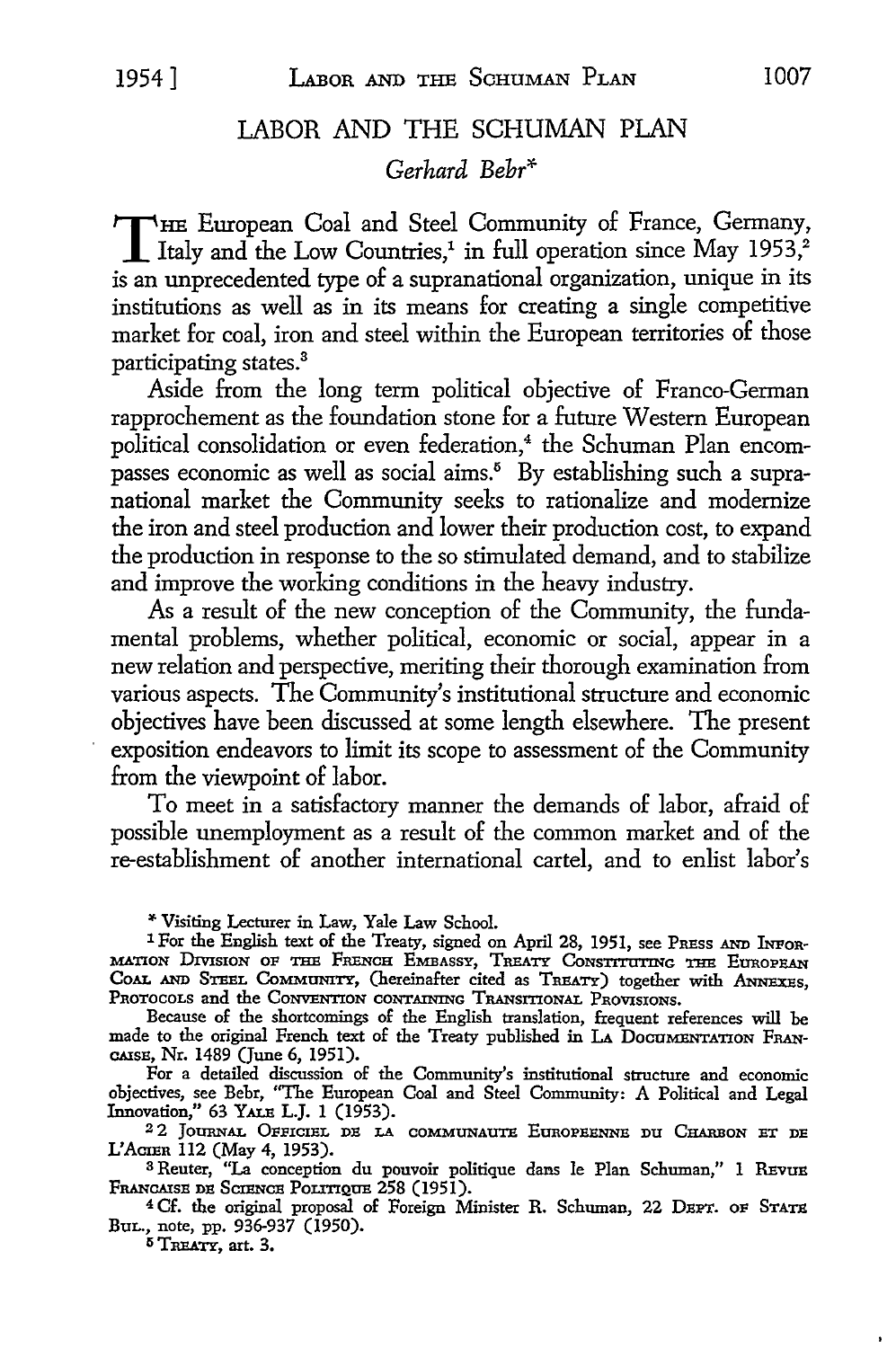# LABOR AND THE SCHUMAN PLAN

*Gerhard Behr\** 

THE European Coal and Steel Community of France, Germany,<br>Italy and the Low Countries,<sup>1</sup> in full operation since May 1953,<sup>2</sup><br>is an unquested to a communical operation, unique in its is an unprecedented type of a supranational organization, unique in its institutions as well as in its means for creating a single competitive market for coal, iron and steel within the European territories of those participating states.<sup>3</sup>

Aside from the long term political objective of Franco-German rapprochement as the foundation stone for a future Western European political consolidation or even federation,<sup>4</sup> the Schuman Plan encompasses economic as well as social aims.<sup>5</sup> By establishing such a supranational market the Community seeks to rationalize and modernize the iron and steel production and lower their production cost, to expand the production in response to the so stimulated demand, and to stabilize and improve the working conditions in the heavy industry.

As a result of the new conception of the Community, the fundamental problems, whether political, economic or social, appear in a new relation and perspective, meriting their thorough examination from various aspects. The Community's institutional structure and economic objectives have been discussed at some length elsewhere. The present exposition endeavors to limit its scope to assessment of the Community from the viewpoint of labor.

To meet in a satisfactory manner the demands of labor, afraid of possible unemployment as a result of the common market and of the re-establishment of another international cartel, and to enlist labor's

"Visiting Lecturer in Law, Yale Law School.

Because of the shortcomings of the English translation, frequent references will be made to the original French text of the Treaty published in LA DocumENTATION FRAN-CAISB, Nr. 1489 (June 6, 1951).

For a detailed discussion of the Community's institutional structure and economic objectives, see Behr, "The European Coal and Steel Community: A Political and Legal Innovation," 63 YALB L.J. 1 (1953).

<sup>2</sup>2 JOURNAL OFFICIEL DE LA COMMUNAUTE EUROPEENNE DU CHARBON ET DE L'ACTER 112 (May 4, 1953).

3 Reuter, "La conception du pouvoir politique dans le Plan Schuman," 1 REVUE FRANCAISE DE SCIENCE POLITIQUE 258 (1951).

<sup>4</sup> Cf. the original proposal of Foreign Minister R. Schuman, 22 DEPT. OF STATE BuL., note, pp. 936-937 (1950).

 $5$  TREATY, art. 3.

<sup>&</sup>lt;sup>1</sup> For the English text of the Treaty, signed on April 28, 1951, see PRESS AND INFOR-MATION DivxsroN OF THE FRENCH EMBASSY, TREATY CoNsTITaTING THE EtmoPEAN COAL AND STEEL COMMUNITY, (hereinafter cited as TREATY) together with ANNEXES, PROTOCOLS and the CONVENTION CONTAINING TRANSITIONAL PROVISIONS.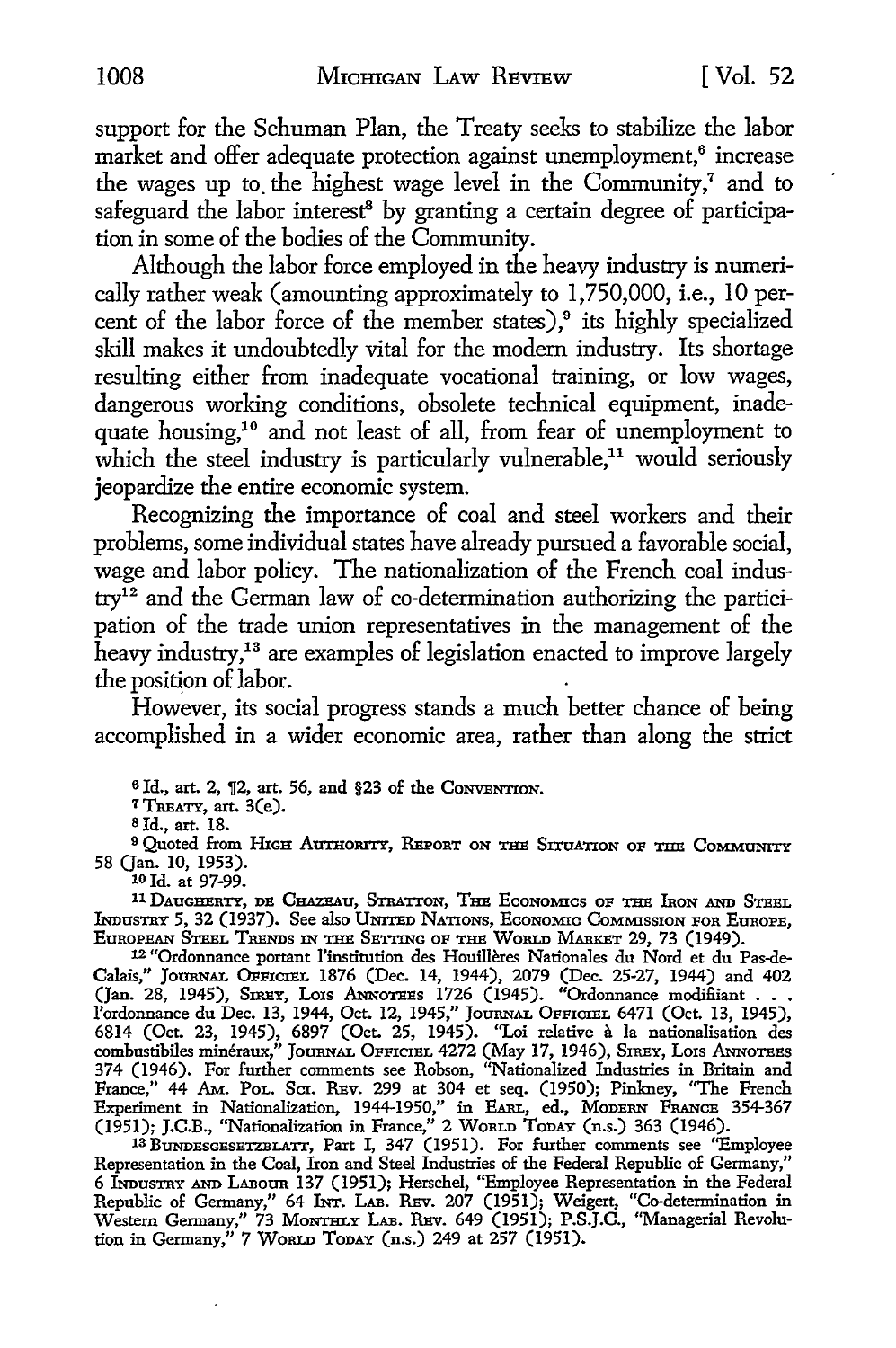support for the Schuman Plan, the Treaty seeks to stabilize the labor market and offer adequate protection against unemployment,<sup>6</sup> increase the wages up to the highest wage level in the Community, $^7$  and to safeguard the labor interest<sup>8</sup> by granting a certain degree of participation in some of the bodies of the Community.

Although the labor force employed in the heavy industry is numerically rather weak (amounting approximately to 1,750,000, i.e., 10 percent of the labor force of the member states), $9$  its highly specialized skill makes it undoubtedly vital for the modem industry. Its shortage resulting either from inadequate vocational training, or low wages, dangerous working conditions, obsolete technical equipment, inadequate housing,10 and not least of all, from fear of unemployment to which the steel industry is particularly vulnerable,<sup>11</sup> would seriously jeopardize the entire economic system.

Recognizing the importance of coal and steel workers and their problems, some individual states have already pursued a favorable social, wage and labor policy. The nationalization of the French coal industry12 and the German law of co-determination authorizing the participation of the trade union representatives in the management of the heavy industry,<sup>13</sup> are examples of legislation enacted to improve largely the position of labor.

However, its social progress stands a much better chance of being accomplished in a wider economic area, rather than along the strict

<sup>6</sup> Id., art. 2,  $\S$ 2, art. 56, and §23 of the CONVENTION.

<sup>7</sup>TREATY, art. 3(e).

s Id., art. 18.

<sup>9</sup> Quoted from HIGH AUTHORITY, REPORT ON THE SITUATION OF THE COMMUNITY 58 (Jan. 10, 1953).

10 Id. at 97-99.

11 DAUGHERTY, DE CHAZEAU, STRATTON, THE ECONOMICS OF THE IRON AND STEEL lNI>usTRY 5, 32 (1937). See also UNITED NATIONS, EcoNoM:Ic CoMM:ISSION FOR EoROPB, EUROPEAN STEEL TRENDS IN THE SETTING oF THE WoRLD MARxET 29, 73 (1949).

12 "Ordonnance portant !'institution des Houilleres Nationales du Nord et du Pas-de-Calais," Journal Officiel 1876 (Dec. 14, 1944), 2079 (Dec. 25-27, 1944) and 402 (Jan. 28, 1945), Siney, Lois Annoreis 1726 (1945). "Ordonnance modifiiant  $\ldots$ l'ordonnance du Dec. 13, 1944, Oct. 12, 1945," Journal Officiel 6471 (Oct. 13, 1945),<br>6814 (Oct. 23, 1945), 6897 (Oct. 25, 1945). "Loi relative à la nationalisation des<br>combustibiles minéraux," Journal Officiel 4272 (May 1 374 (1946). For further comments see Robson, "Nationalized Industries in Britain and France," 44 AM. PoL. Scr. REv. 299 at 304 et seq. (1950); Pinkney, "The French Experiment in Nationalization, 1944-1950," in EARL, ed., MoDERN FRANCE 354-367 (1951); J.C.B., "Nationalization in France," 2 WoRLD ToDAY (n.s.) 363 (1946).

13 BUNDESGESETZBLATT, Part I, 347 (1951). For further comments see "Employee Representation in the Coal, Iron and Steel Industries of the Federal Republic of Germany," 6 Industray and Labour 137 (1951); Herschel, "Employee Representation in the Federal Republic of Germany," 64 INT. LAB. REv. 207 (1951); Weigert, "Co-determination in Western Germany," 73 Montrury Lab. Rev. 649 (1951); P.S.J.C., "Managerial Revolution in Germany," 7 WoRLD ToDAY (n.s.) 249 at 257 (1951).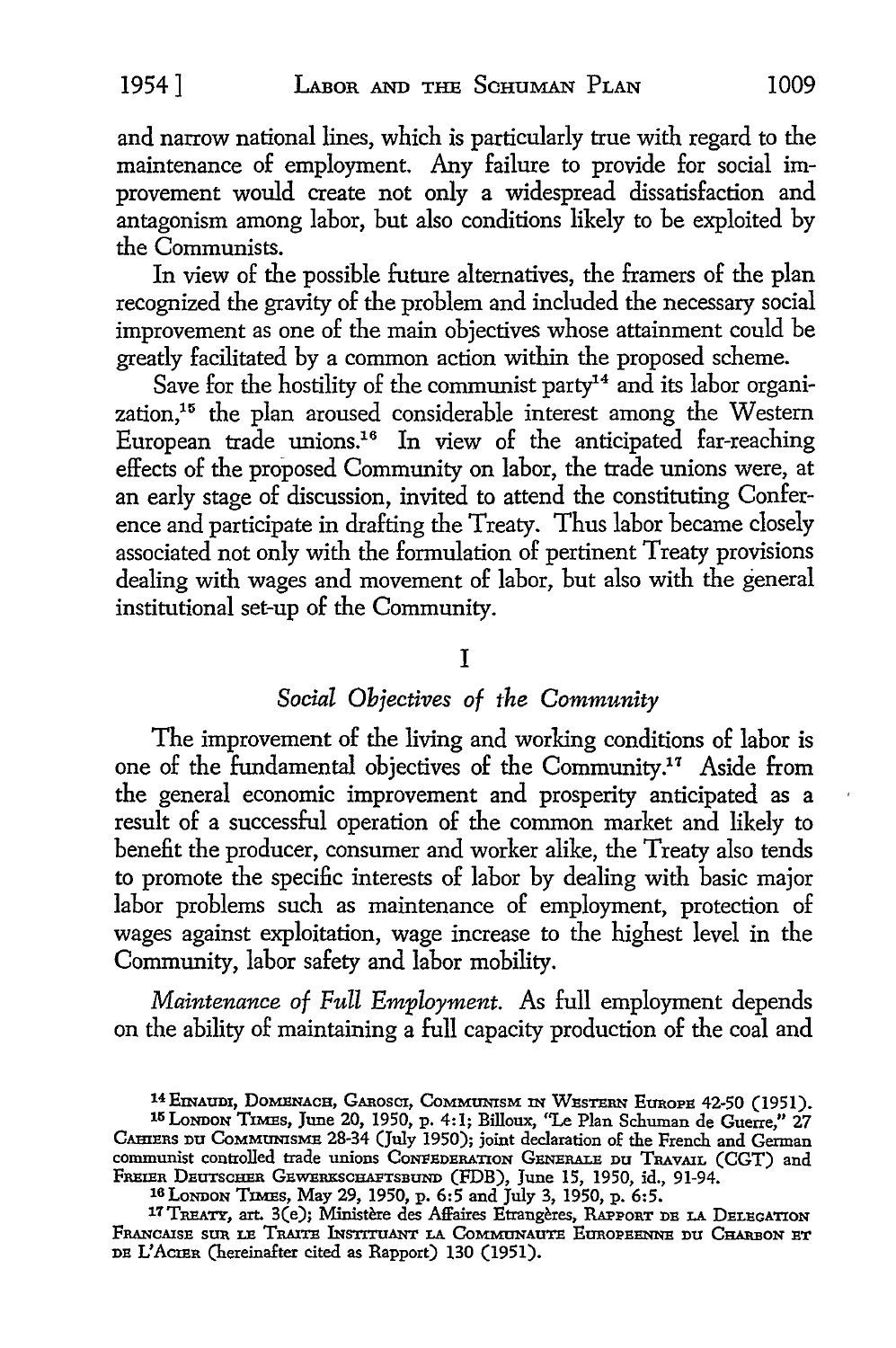and narrow national lines, which is particularly true with regard to the maintenance of employment. Any failure to provide for social improvement would create not only a widespread dissatisfaction and antagonism among labor, but also conditions likely to be exploited by the Communists.

In view of the possible future alternatives, the framers of the plan recognized the gravity of the problem and included the necessary social improvement as one of the main objectives whose attainment could be greatly facilitated by a common action within the proposed scheme.

Save for the hostility of the communist party<sup>14</sup> and its labor organization,15 the plan aroused considerable interest among the Western European trade unions.16 In view of the anticipated far-reaching effects of the proposed Community on labor, the trade unions were, at an early stage of discussion, invited to attend the constituting Conference and participate in drafting the Treaty. Thus labor became closely associated not only with the formulation of pertinent Treaty provisions dealing with wages and movement of labor, but also with the general institutional set-up of the Community.

# I

# *Social Objectives of the Community*

The improvement of the living and working conditions of labor is one of the fundamental objectives of the Community.17 Aside from the general economic improvement and prosperity anticipated as a result of a successful operation of the common market and likely to benefit the producer, consumer and worker alike, the Treaty also tends to promote the specific interests of labor by dealing with basic major labor problems such as maintenance of employment, protection of wages against exploitation, wage increase to the highest level in the Community, labor safety and labor mobility.

*Maintenance of Full Employment.* As full employment depends on the ability of maintaining a full capacity production of the coal and

<sup>14</sup> EINAUDI, DOMENACH, GAROSCI, COMMUNISM IN WESTERN EUROPE 42-50 (1951).

<sup>1</sup><sup>5</sup>LoNDON TIMEs, June 20, 1950, p. 4: l; Billoux, "Le Plan Schuman de Guerre," 27 CAHIERS DU CoMMUNISMB 28-34 (July 1950); joint declaration of the French and German communist controlled trade unions CONFEDERATION GENERALE DU TRAVAIL (CGT) and FREIER DEUTSCHER GBWERKSCHAFTSBUND (FDB), June 15, 1950, id., 91-94.

<sup>16</sup> LoNDON TIMES, May 29, 1950, p. 6:5 and July 3, 1950, p. 6:5.

<sup>17</sup> TREATY, art. 3(e); Ministère des Affaires Etrangères, RAPPORT DE LA DELEGATION FRANCAISE SUR LE TRAITE INSTITUANT LA COMMUNAUTE EUROPEENNE DU CHARBON ET DE L'ACIER (hereinafter cited as Rapport) 130 (1951).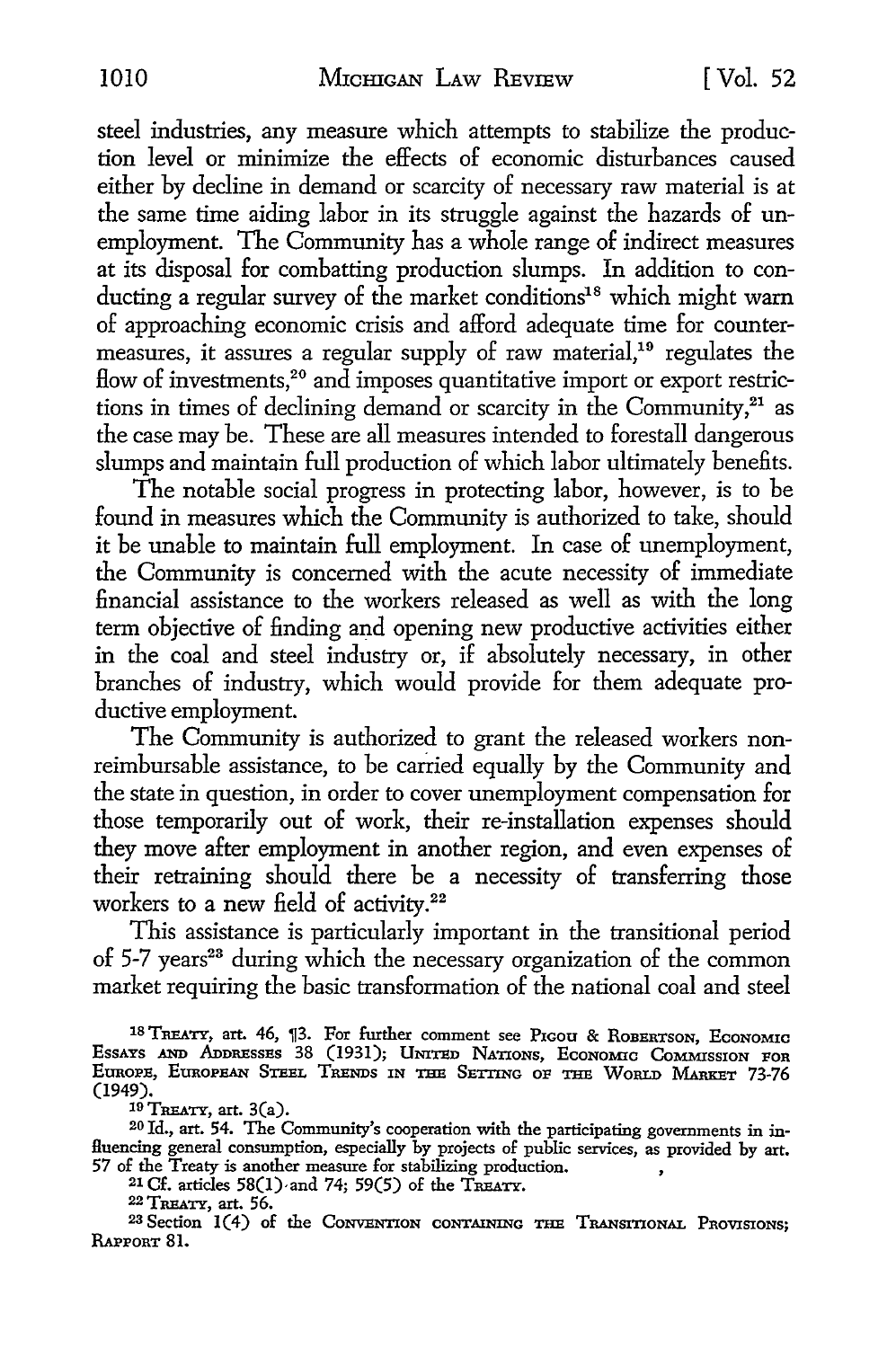steel industries, any measure which attempts to stabilize the production level or minimize the effects of economic disturbances caused either by decline in demand or scarcity of necessary raw material is at the same time aiding labor in its struggle against the hazards of unemployment. The Community has a whole range of indirect measures at its disposal for combatting production slumps. In addition to conducting a regular survey of the market conditions<sup>18</sup> which might warn of approaching economic crisis and afford adequate time for countermeasures, it assures a regular supply of raw material,<sup>19</sup> regulates the flow of investments,<sup>20</sup> and imposes quantitative import or export restrictions in times of declining demand or scarcity in the Community, $21$  as the case may be. These are all measures intended to forestall dangerous slumps and maintain full production of which labor ultimately benefits.

The notable social progress in protecting labor, however, is to be found in measures which the Community is authorized to take, should it be unable to maintain full employment. In case of unemployment, the Community is concerned with the acute necessity of immediate financial assistance to the workers released as well as with the long term objective of finding and opening new productive activities either in the coal and steel industry or, if absolutely necessary, in other branches of industry, which would provide for them adequate productive employment.

The Community is authorized to grant the released workers nonreimbursable assistance, to be carried equally by the Community and the state in question, in order to cover unemployment compensation for those temporarily out of work, their re-installation expenses should they move after employment in another region, and even expenses of their retraining should there be a necessity of transferring those workers to a new field of activity.<sup>22</sup>

This assistance is particularly important in the transitional period of  $5-7$  years<sup>23</sup> during which the necessary organization of the common market requiring the basic transformation of the national coal and steel

18 TREATY, art. 46, 13. For further comment see Pigou & ROBERTSON, ECONOMIC EssAYs AND ADDRESSES 38 (1931); UNITED NATIONS, EcoNoMic CoMMissroN FOR EUROPE, EUROPEAN STEEL TRENDS IN THE SETTING oP THE WoRLD MARKET 73-76 (1949).

 $19$  TREATY, art.  $3(a)$ .

20 Id., art. 54. The Community's cooperation with the participating governments in in-Huencing general consumption, especially by projects of public services, as provided by art. 57 of the Treaty is another measure for stabilizing production. ,

<sup>21</sup> Cf. articles  $58(1)$  and 74;  $59(5)$  of the TREATY.

22 TREATY, art. 56.

23 Section 1(4) of the CoNVENTION CONTAINING THE TRANSITIONAL PROVISIONS; RAPPORT 81.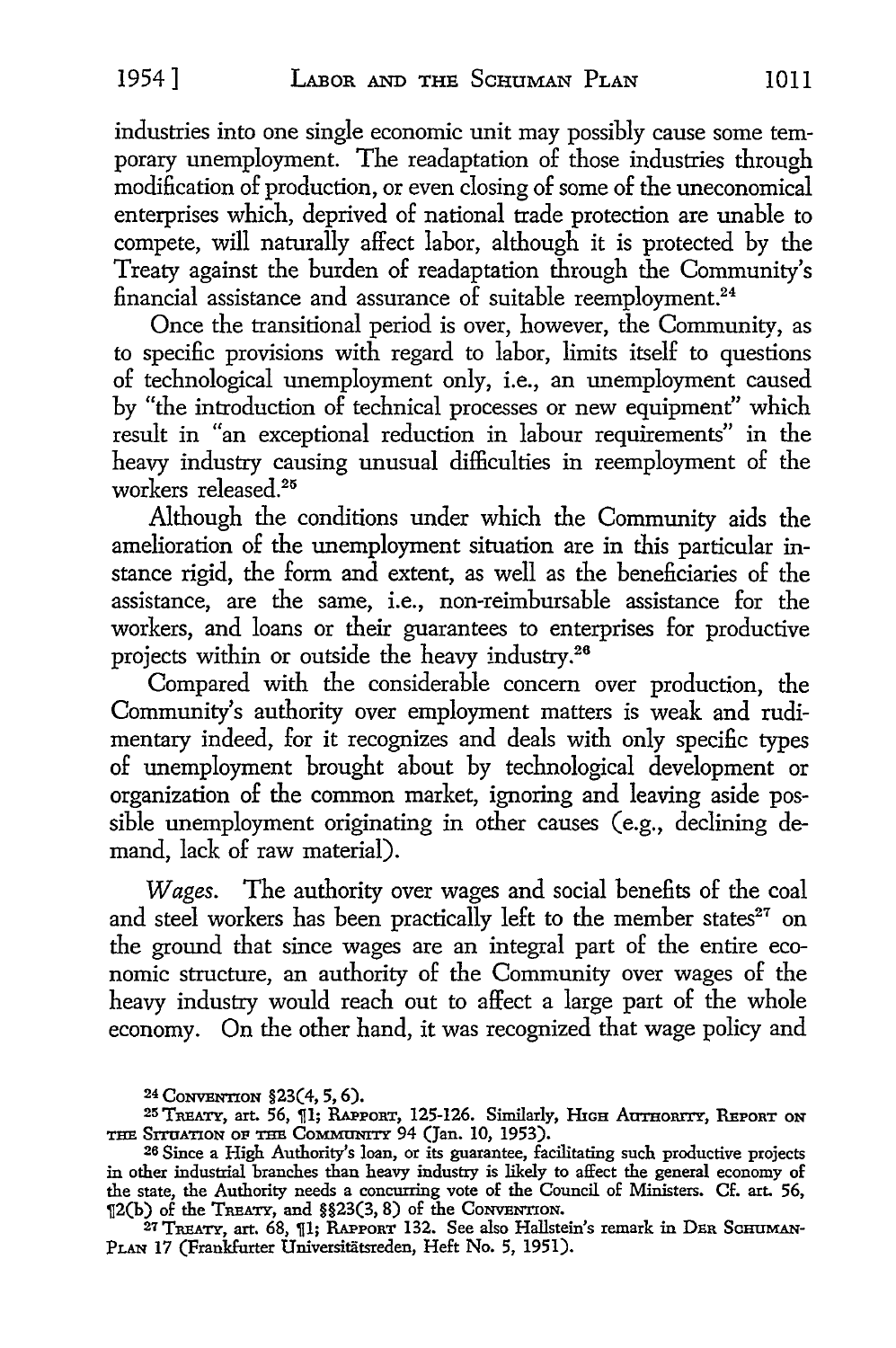industries into one single economic unit may possibly cause some temporary unemployment. The readaptation of those industries through modification of production, or even closing of some of the uneconomical enterprises which, deprived of national trade protection are unable to compete, will naturally affect labor, although it is protected by the Treaty against the burden of readaptation through the Community's financial assistance and assurance of suitable reemployment.<sup>24</sup>

Once the transitional period is over, however, the Community, as to specific provisions with regard to labor, limits itself to questions of technological unemployment only, i.e., an unemployment caused by "the introduction of technical processes or new equipment" which result in "an exceptional reduction in labour requirements" in the heavy industry causing unusual difficulties in reemployment of the workers released.25

Although the conditions under which the Community aids the amelioration of the unemployment situation are in this particular instance rigid, the form and extent, as well as the beneficiaries of the assistance, are the same, i.e., non-reimbursable assistance for the workers, and loans or their guarantees to enterprises for productive projects within or outside the heavy industry.26

Compared with the considerable concern over production, the Community's authority over employment matters is weak and rudimentary indeed, for it recognizes and deals with only specific types of unemployment brought about by technological development or organization of the common market, ignoring and leaving aside possible unemployment originating in other causes (e.g., declining demand, lack of raw material).

*Wages.* The authority over wages and social benefits of the coal and steel workers has been practically left to the member states<sup>27</sup> on the ground that since wages are an integral part of the entire economic structure, an authority of the Community over wages of the heavy industry would reach out to affect a large part of the whole economy. On the other hand, it was recognized that wage policy and

<sup>27</sup> TREATY, art. 68, ¶1; RAPPORT 132. See also Hallstein's remark in DER SCHUMAN-PLAN 17 (Frankfurter Universitatsreden, Heft No. 5, 1951).

<sup>24</sup> CONVENTION §23( 4, 5, 6).

<sup>&</sup>lt;sup>25</sup> TREATY, art. 56, [1]; RAPPORT, 125-126. Similarly, HIGH AUTHORITY, REPORT ON THE SITUATION OF THE COMMUNITY 94 (Jan. 10, 1953).

<sup>26</sup> Since a High Authority's loan, or its guarantee, facilitating such productive projects in other industrial branches than heavy industry is likely to affect the general economy of the state, the Authority needs a concurring vote of the Council of Ministers. Cf. art. 56, 12(b) of the TREATY, and §§23(3, 8) of the CONVENTION.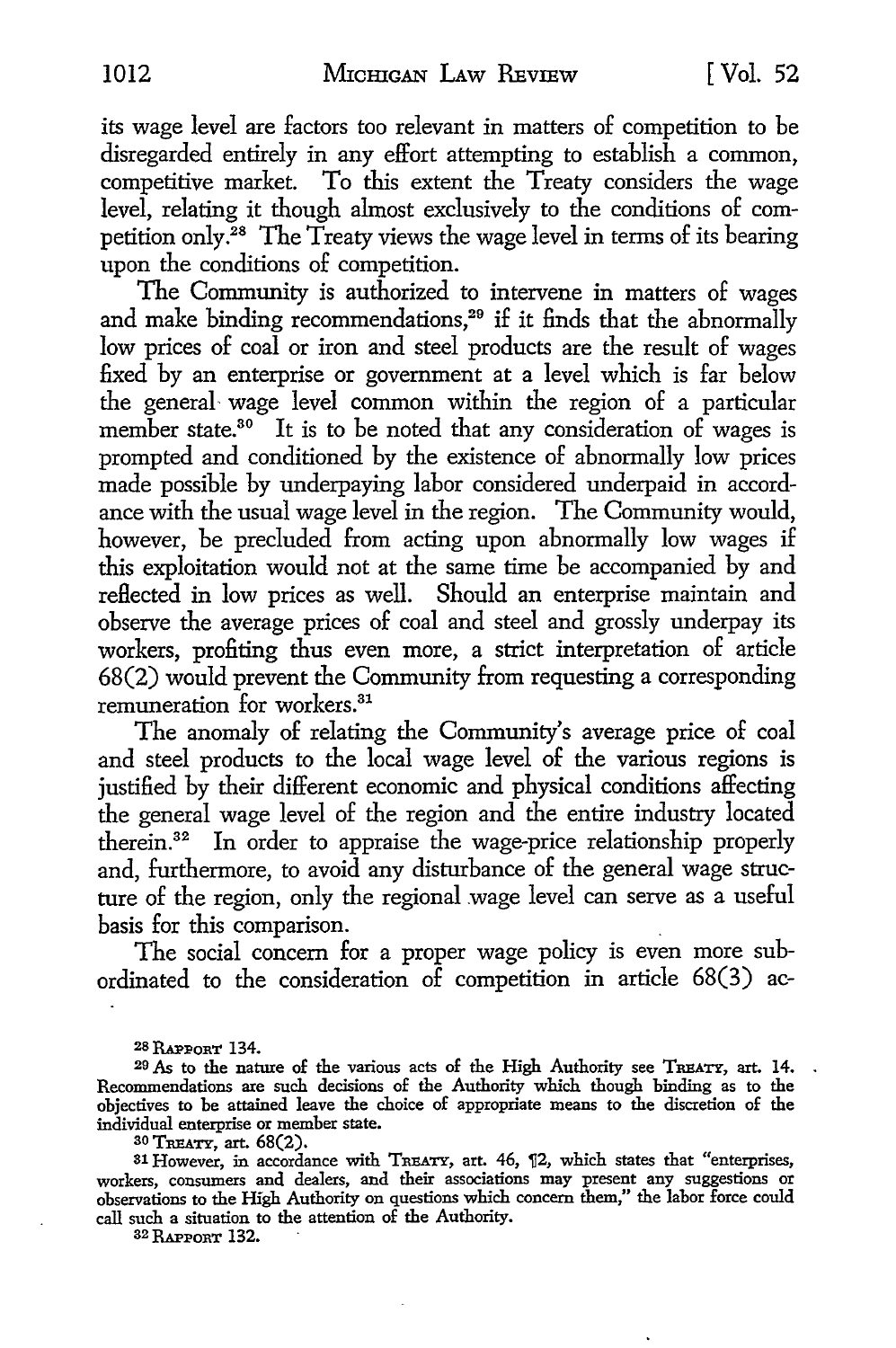its wage level are factors too relevant in matters of competition to be disregarded entirely in any effort attempting to establish a common, competitive market. To this extent the Treaty considers the wage level, relating it though almost exclusively to the conditions of competition only.28 The Treaty views the wage level in terms of its bearing upon the conditions of competition.

The Community is authorized to intervene in matters of wages and make binding recommendations,<sup>29</sup> if it finds that the abnormally low prices of coal or iron and steel products are the result of wages fixed by an enterprise or government at a level which is far below the general wage level common within the region of a particular member state.<sup>30</sup> It is to be noted that any consideration of wages is prompted and conditioned by the existence of abnormally low prices made possible by underpaying labor considered underpaid in accordance with the usual wage level in the region. The Community would, however, be precluded from acting upon abnormally low wages if this exploitation would not at the same time be accompanied by and reflected in low prices as well. Should an enterprise maintain and observe the average prices of coal and steel and grossly underpay its workers, profiting thus even more, a strict interpretation of article 68(2) would prevent the Community from requesting a corresponding remuneration for workers.<sup>31</sup>

The anomaly of relating the Community's average price of coal and steel products to the local wage level of the various regions is justified by their different economic and physical conditions affecting the general wage level of the region and the entire industry located therein.32 In order to appraise the wage-price relationship properly and, furthermore, to avoid any disturbance of the general wage structure of the region, only the regional wage level can serve as a useful basis for this comparison. .

The social concern for a proper wage policy is even more subordinated to the consideration of competition in article 68(3) ac-

<sup>29</sup> As to the nature of the various acts of the High Authority see TREATY, art. 14. Recommendations are such decisions of the Authority which though binding as to the objectives to be attained leave the choice of appropriate means to the discretion of the individual enterprise or member state.

30 TRBATY, art. 68(2).

31 However, in accordance with TREATY, art. 46, 12, which states that "enterprises, workers, consumers and dealers, and their associations may present any suggestions or observations to the High Authority on questions which concern them," the labor force could call such a situation to the attention of the Authority.

32 RAPPORT 132.

<sup>28</sup> RAPPORT 134.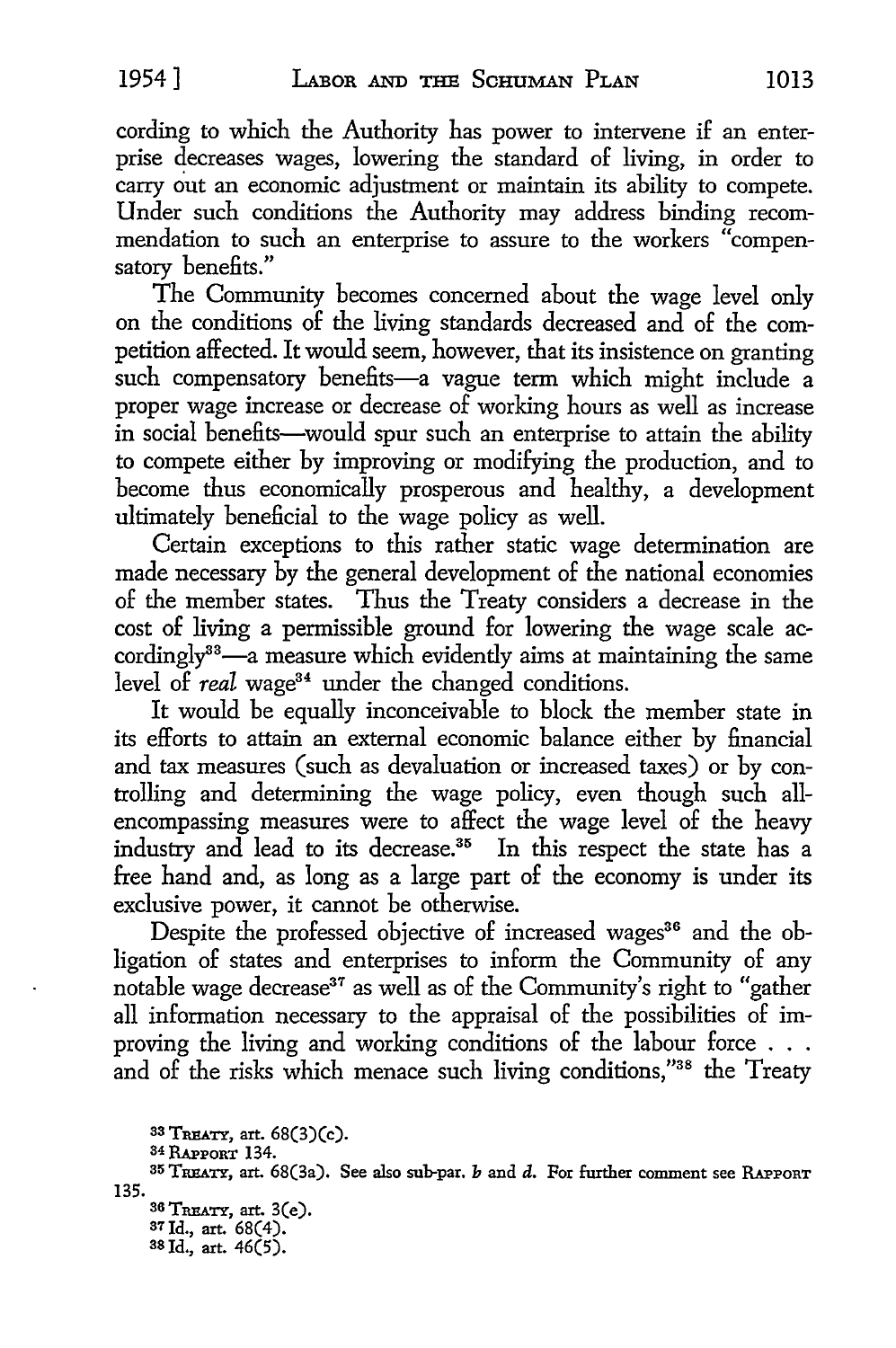cording to which the Authority has power to intervene if an enterprise decreases wages, lowering the standard of living, in order to carry out an economic adjustment or maintain its ability to compete. Under such conditions the Authority may address binding recommendation to such an enterprise to assure to the workers "compensatory benefits."

The Community becomes concerned about the wage level only on the conditions of the living standards decreased and of the competition affected. It would seem, however, that its insistence on granting such compensatory benefits-a vague term which might include a proper wage increase or decrease of working hours as well as increase in social benefits-would spur such an enterprise to attain the ability to compete either by improving or modifying the production, and to become thus economically prosperous and healthy, a development ultimately beneficial to the wage policy as well.

Certain exceptions to this rather static wage determination are made necessary by the general development of the national economies of the member states. Thus the Treaty considers a decrease in the cost of living a permissible ground for lowering the wage scale accordingly<sup>33</sup>—a measure which evidently aims at maintaining the same level of *real* wage<sup>34</sup> under the changed conditions.

It would be equally inconceivable to block the member state in its efforts to attain an external economic balance either by financial and tax measures (such as devaluation or increased taxes) or by controlling and determining the wage policy, even though such allencompassing measures were to affect the wage level of the heavy industry and lead to its decrease.<sup>35</sup> In this respect the state has a free hand and, as long as a large part of the economy is under its exclusive power, it cannot be otherwise.

Despite the professed objective of increased wages<sup>36</sup> and the obligation of states and enterprises to inform the Community of any notable wage decrease<sup>37</sup> as well as of the Community's right to "gather all information necessary to the appraisal of the possibilities of improving the living and working conditions of the labour force . . . and of the risks which menace such living conditions,"38 the Treaty

<sup>135.</sup>  33 TRBATY, art. 68(3)(c). 34 RAPPORT 134. 35 TREATY, art. 68(3a). See also sub-par. b and d. For further comment see RAPPORT 36 TREATY, art. 3(e). 37Jd., art. 68(4). as Id., art. 46(5).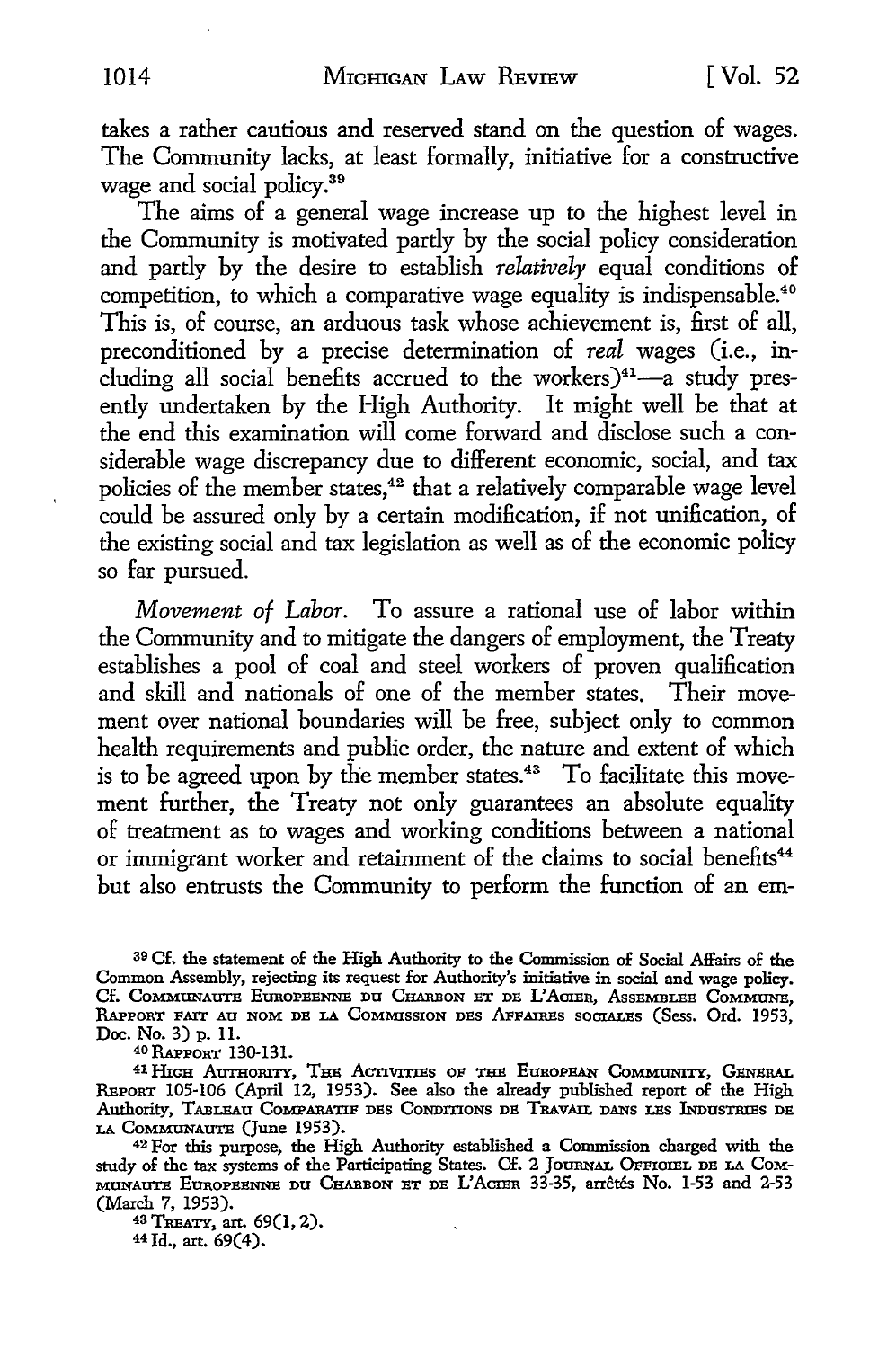takes a rather cautious and reserved stand on the question of wages. The Community lacks, at least formally, initiative for a constructive wage and social policy.<sup>39</sup>

The aims of a general wage increase up to the highest level in the Community is motivated partly by the social policy consideration and partly by the desire to establish *relatively* equal conditions of competition, to which a comparative wage equality is indispensable.<sup>40</sup> This is, of course, an arduous task whose achievement is, first of all, preconditioned by a precise determination of *real* wages (i.e., including all social benefits accrued to the workers) $41$ -a study presently undertaken by the High Authority. It might well be that at the end this examination will come forward and disclose such a considerable wage discrepancy due to different economic, social, and tax policies of the member states,<sup>42</sup> that a relatively comparable wage level could be assured only by a certain modification, if not unification, of the existing social and tax legislation as well as of the economic policy so far pursued.

*Movement of Labor.* To assure a rational use of labor within the Community and to mitigate the dangers of employment, the Treaty establishes a pool of coal and steel workers of proven qualification and skill and nationals of one of the member states. Their movement over national boundaries will be free, subject only to common health requirements and public order, the nature and extent of which is to be agreed upon by the member states.<sup>43</sup> To facilitate this movement further, the Treaty not only guarantees an absolute equality of treatment as to wages and working conditions between a national or immigrant worker and retainment of the claims to social benefits<sup>44</sup> but also entrusts the Community to perform the function of an em-

39 Cf. the statement of the High Authority to the Commission of Social Affairs of the Common Assembly, rejecting its request for Authority's initiative in social and wage policy. Cf. COMMUNAUTE EUROPEENNE DU CHARBON ET DE L'ACIER, ASSEMBLEE COMMUNE, RAPPORT FATT AU NOM DE LA COMMISSION DES AFFAIRES SOCIALES (Sess. Ord. 1953. Doc. No. 3) p. 11.

40RAPPORT 130-131.

<sup>41</sup> HIGH AUTHORITY, THE ACTIVITIES OF THE EUROPEAN COMMUNITY, GENERAL REPORT 105-106 (April 12, 1953). See also the already published report of the High Authority, TABLEAU COMPARATIF DES CONDITIONS DE TRAVAIL DANS LES INDUSTRIES DE LA CoMMUNAUTE (June 1953).

42 For this purpose, the High Authority established a Commission charged with the study of the tax systems of the Participating States. Cf. 2 JoURNAL 0PPICIEL DE LA CoM-MUNAUTE EUROPEENNE DU CHARBON ET DE L'ACIER 33-35, arrêtés No. 1-53 and 2-53 (March 7, 1953).

43 TREATY, art. 69(1, 2). 44Jd., art. 69(4).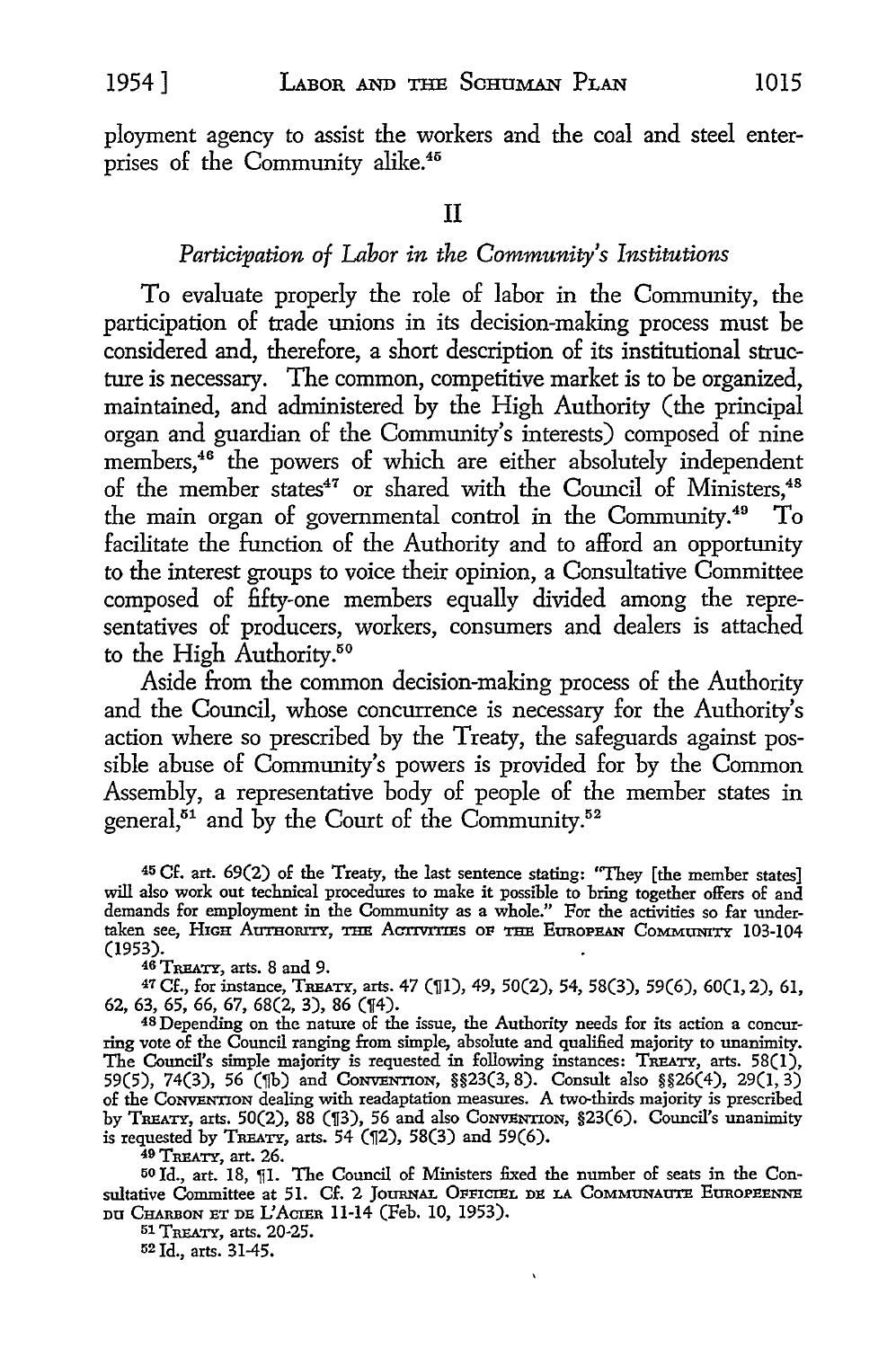ployment agency to assist the workers and the coal and steel enterprises of the Community alike.<sup>45</sup>

#### II

# *Participation of Labor in the Community's Institutions*

To evaluate properly the role of labor in the Community, the participation of trade unions in its decision-making process must be considered and, therefore, a short description of its institutional structure is necessary. The common, competitive market is to be organized, maintained, and administered by the High Authority (the principal organ and guardian of the Community's interests) composed of nine members,<sup>46</sup> the powers of which are either absolutely independent of the member states<sup>47</sup> or shared with the Council of Ministers,<sup>48</sup> the main organ of governmental control in the Community.49 To facilitate the function of the Authority and to afford an opportunity to the interest groups to voice their opinion, a Consultative Committee composed of fifty-one members equally divided among the representatives of producers, workers, consumers and dealers is attached to the High Authority.<sup>50</sup>

Aside from the common decision-making process of the Authority and the Council, whose concurrence is necessary for the Authority's action where so prescribed by the Treaty, the safeguards against possible abuse of Community's powers is provided for by the Common Assembly, a representative body of people of the member states in general, $51$  and by the Court of the Community. $52$ 

<sup>45</sup>Cf. art. 69(2) of the Treaty, the last sentence stating: "They [the member states] will also work out technical procedures to make it possible to bring together offers of and demands for employment in the Community as a whole." For the activities so far undertaken see, HIGH AUTHORITY, THE ACTIVITIES OF THE EUROPEAN COMMUNITY 103-104 (1953).

<sup>46 T</sup>REATY, arts. 8 and 9.<br><sup>47</sup> Cf., for instance, TREATY, arts. 47 (¶1), 49, 50(2), 54, 58(3), 59(6), 60(1, 2), 61, 62, 63, 65, 66, 67, 68(2, 3), 86 (114).

48 Depending on the nature of the issue, the Authority needs for its action a concurring vote of the Council ranging from simple, absolute and qualified majority to unanimity. The Council's simple majority is requested in following instances: TREATY, arts. 58(1), 59(5), 74(3), 56 (¶b) and Conventron, §§23(3,8). Consult also §§26(4), 29(1,3) of the CoNVENTION dealing with readaptation measures. A two-thirds majority is prescribed by TREATY, arts. 50(2), 88 (¶3), 56 and also CONVENTION, §23(6). Council's unanimity is requested by TREATY, arts.  $54$  ( $[2]$ ,  $58(3)$  and  $59(6)$ .

49 TREATY, art. 26.

50 Id., art. 18, [1]. The Council of Ministers fixed the number of seats in the Consultative Committee at 51. Cf. 2 JOURNAL OFFICIEL DE LA COMMUNAUTE EUROPEENNE DU CHARBON ET DE L'ACIER 11-14 (Feb. 10, 1953).

 $\mathbf{v}$ 

51 TREATY, arts. 20-25.

52 Id., arts. 31-45.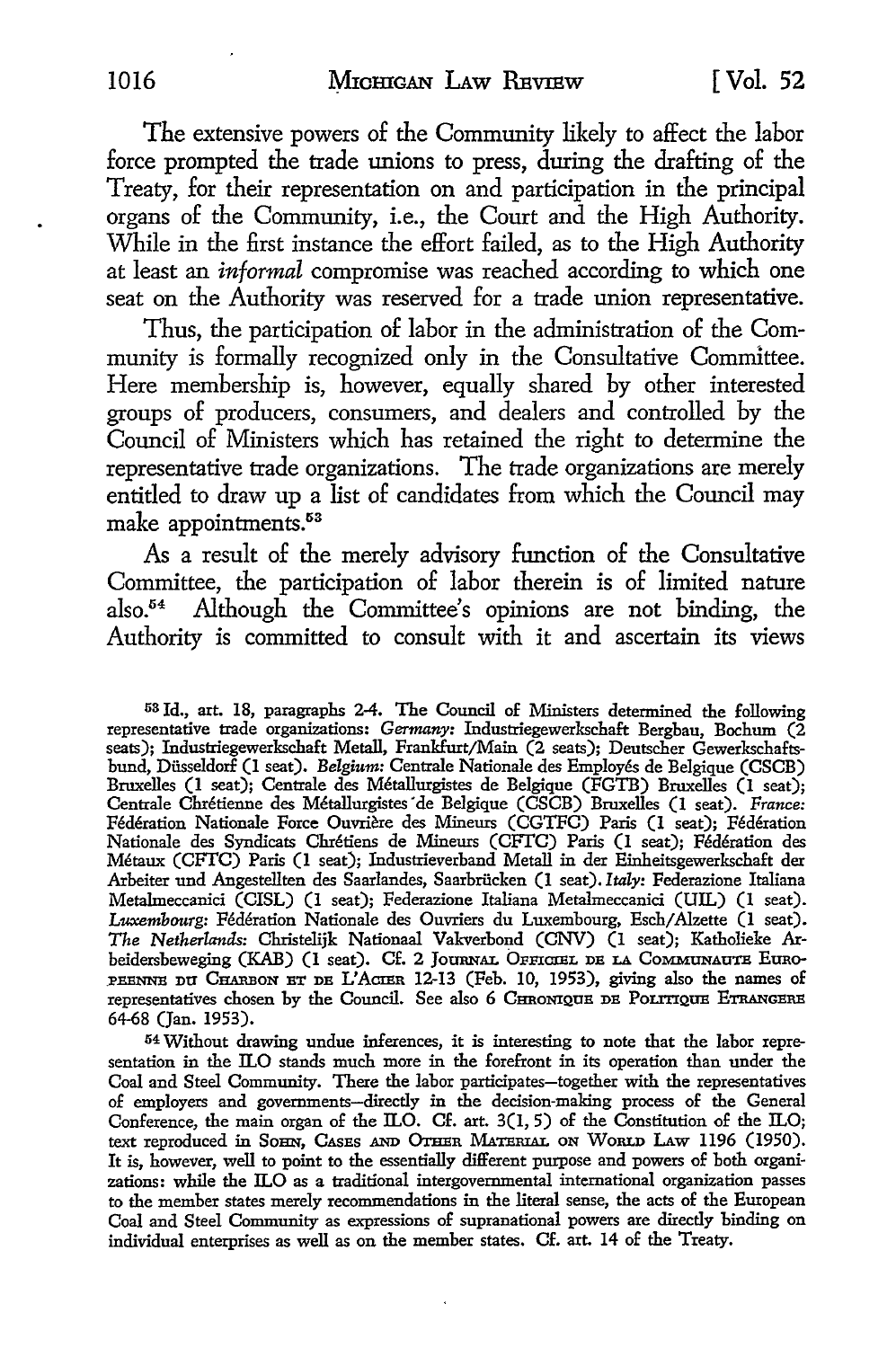The extensive powers of the Community likely *to* affect the labor force prompted the trade unions *to* press, during the drafting of the Treaty, for their representation on and participation in the principal organs of the Community, i.e., the Court and the High Authority. While in the first instance the effort failed, as to the High Authority at least an *informal* compromise was reached according *to* which one seat on the Authority was reserved for a trade union representative.

Thus, the participation of labor in the administration of the Community is formally recognized only in the Consultative Committee. Here membership is, however, equally shared by other interested groups of producers, consumers, and dealers and controlled by the Council of Ministers which has retained the right *to* determine the representative trade organizations. The trade organizations are merely entitled *to* draw up a list of candidates from which the Council may make appointments.<sup>53</sup>

As a result of the merely advisory function of the Consultative Committee, the participation of labor therein is of limited nature also.54 Although the Committee's opinions are not binding, the Authority is committed to consult with it and ascertain its views

53 Id., art. 18, paragraphs 2-4. The Council of Ministers determined the following representative trade organizations: *Germany:* Industriegewerkschaft Bergbau, Bochum (2 seats); Industriegewerkschaft Metal!, Frankfurt/Main (2 seats); Deutscher Gewerkschaftsbund, Diisseldorf (I seat). *Belgium:* Centrale Nationale des Employes de Belgique (CSCB) Bruxelles (I seat); Centrale des Metallurgistes de Belgique (FGTB) Bruxelles (I seat); Centrale Chretienne des Metallurgistes · de Belgique (CSCB) Bruxelles (I seat). *France:*  Federation Nationale Force Ouvriere des Mineurs (CGTFC) Paris (I seat); Federation Nationale des Syndicats Chretiens de Mineurs (CFI'C) Paris (1 seat); Federation des Metaux (CFfC) Paris (I seat); Industrieverband Metal! in der Einheitsgewerkschaft der Arbeiter und Angestellten des Saarlandes, Saarbriicken (1 seat). *Italy:* Federazione Italiana Metalmeccanici (CISL) (1 seat); Federazione Italiana Metalmeccanici (UIL) (I seat). Luxembourg: Fédération Nationale des Ouvriers du Luxembourg, Esch/Alzette (1 seat). *The Netherlands:* Christelijk Nationaal Vakverbond (CNV) (1 seat); Katholieke Arbeidersbeweging (KAB) (1 seat). Cf. 2 JOURNAL OFFICIEL DE LA COMMUNAUTE EURO-PEENNE DU CHARBON ET DE L'ACIER 12-13 (Feb. 10, 1953), giving also the names of representatives chosen by the Council. See also 6 CHRONIQUE DE POLITIQUE ETRANGERE 64-68 (Jan. 1953).

54 Without drawing undue inferences, it is interesting to note that the labor representation in the ILO stands much more in the forefront in its operation than under the Coal and Steel Community. There the labor participates-together with the representatives of employers and governments-directly in the decision-making process of the General Conference, the main organ of the ILO. Cf. art. 3(1, 5) of the Constitution of the ILO; text reproduced in SOHN, CASES AND OTHER MATERIAL ON WORLD LAW 1196 (1950). It is, however, well to point to the essentially different purpose and powers of both organizations: while the ILO as a traditional intergovernmental international organization passes to the member states merely recommendations in the literal sense, the acts of the European Coal and Steel Community as expressions of supranational powers are directly binding on individual enterprises as well as on the member states. Cf. art. 14 of the Treaty.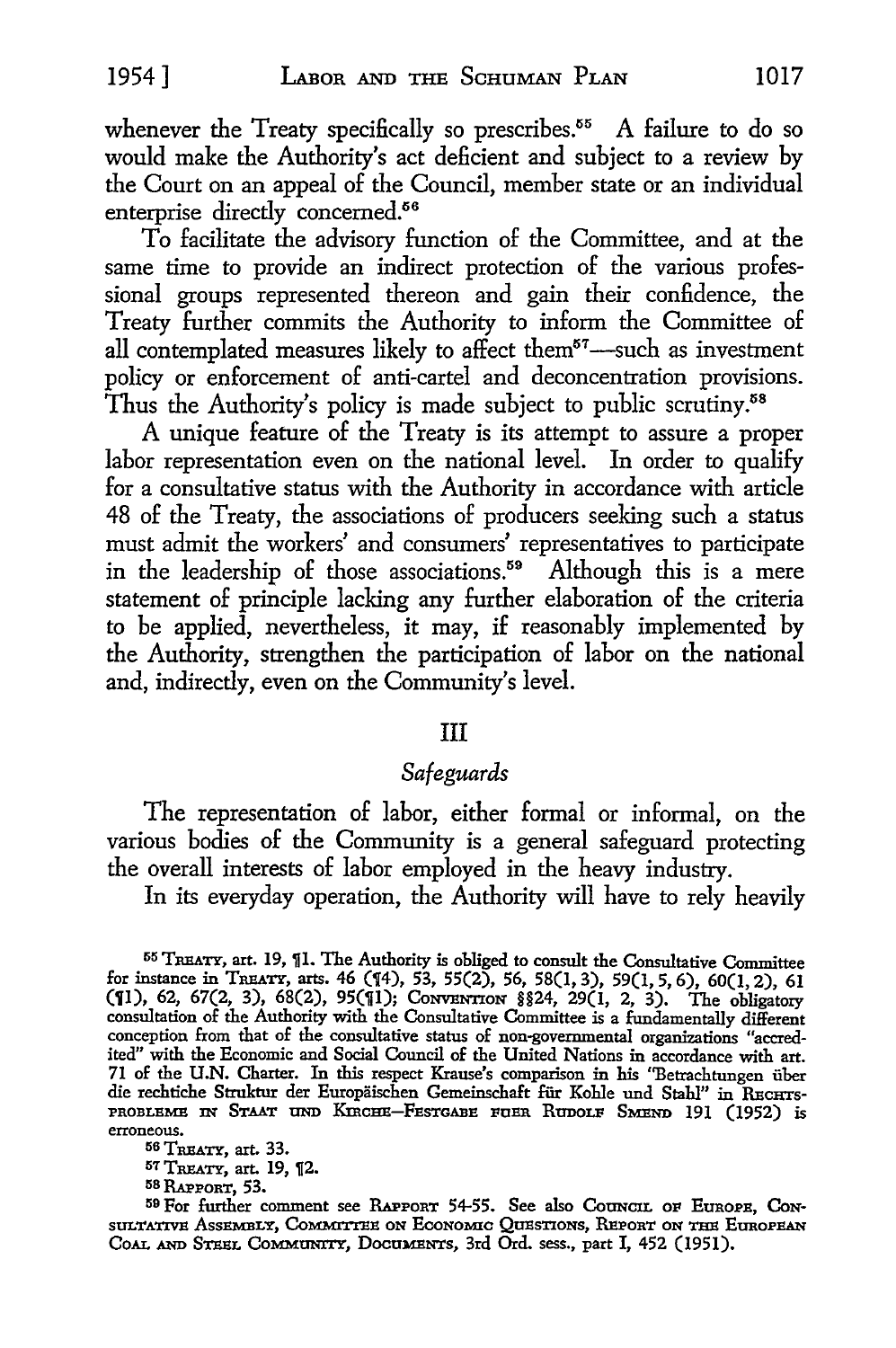whenever the Treaty specifically so prescribes.<sup>55</sup> A failure to do so would make the Authority's act deficient and subject to a review by the Court on an appeal of the Council, member state or an individual enterprise directly concerned.<sup>56</sup>

To facilitate the advisory function of the Committee, and at the same time to provide an indirect protection of the various professional groups represented thereon and gain their confidence, the Treaty further commits the Authority to inform the Committee of all contemplated measures likely to affect them $57$ -such as investment policy or enforcement of anti-cartel and deconcentration provisions. Thus the Authority's policy is made subject to public scrutiny.<sup>58</sup>

A unique feature of the Treaty is its attempt to assure a proper labor representation even on the national level. In order to qualify for a consultative status with the Authority in accordance with article 48 of the Treaty, the associations of producers seeking such a status must admit the workers' and consumers' representatives to participate in the leadership of those associations.<sup>59</sup> Although this is a mere statement of principle lacking any further elaboration of the criteria to be applied, nevertheless, it may, if reasonably implemented by the Authority, strengthen the participation of labor on the national and, indirectly, even on the Community's level.

#### III

# *Safeguards*

The representation of labor, either formal or informal, on the various bodies of the Community is a general safeguard protecting the overall interests of labor employed in the heavy industry.

In its everyday operation, the Authority will have to rely heavily

55 TREATY, art. 19, JI. The Authority is obliged to consult the Consultative Committee for instance in TREATY, arts. 46 (14), 53, 55(2), 56, 58(1, 3), 59(1, 5, 6), 60(1, 2), 61 **(11), 62, 67(2, 3), 68(2), 95(11); CONVENTION §§24, 29(1, 2, 3).** The obligatory consultation of the Authority with the Consultative Committee is a fundamentally different conception from that of the consultative status of non-governmental organizations "accredited" with the Economic and Social Council of the United Nations in accordance with art. 71 of the **U.N.** Charter. In this respect Krause's comparison in his "Betrachtungen iiber die rechtiche Struktur der Europäischen Gemeinschaft für Kohle und Stahl" in RECHTs-PROBLEME IN STAAT UND KIRCHE-FESTGABE FUER RUDOLF SMEND 191 (1952) is erroneous.

56 TREATY, art. 33.

57 TREATY, art. 19, 1[2.

58 RAPPORT, 53.

59 For further comment see RAPPORT 54-55. See also Council OF EUROPE, CON-SULTATIVE ASSEMBLY, COMMITTEE ON ECONOMIC QUESTIONS, REPORT ON THE EUROPEAN CoAL AND STEEL CoMMUNITY, DocaMENTs, 3rd Ord. sess., part I, 452 (1951).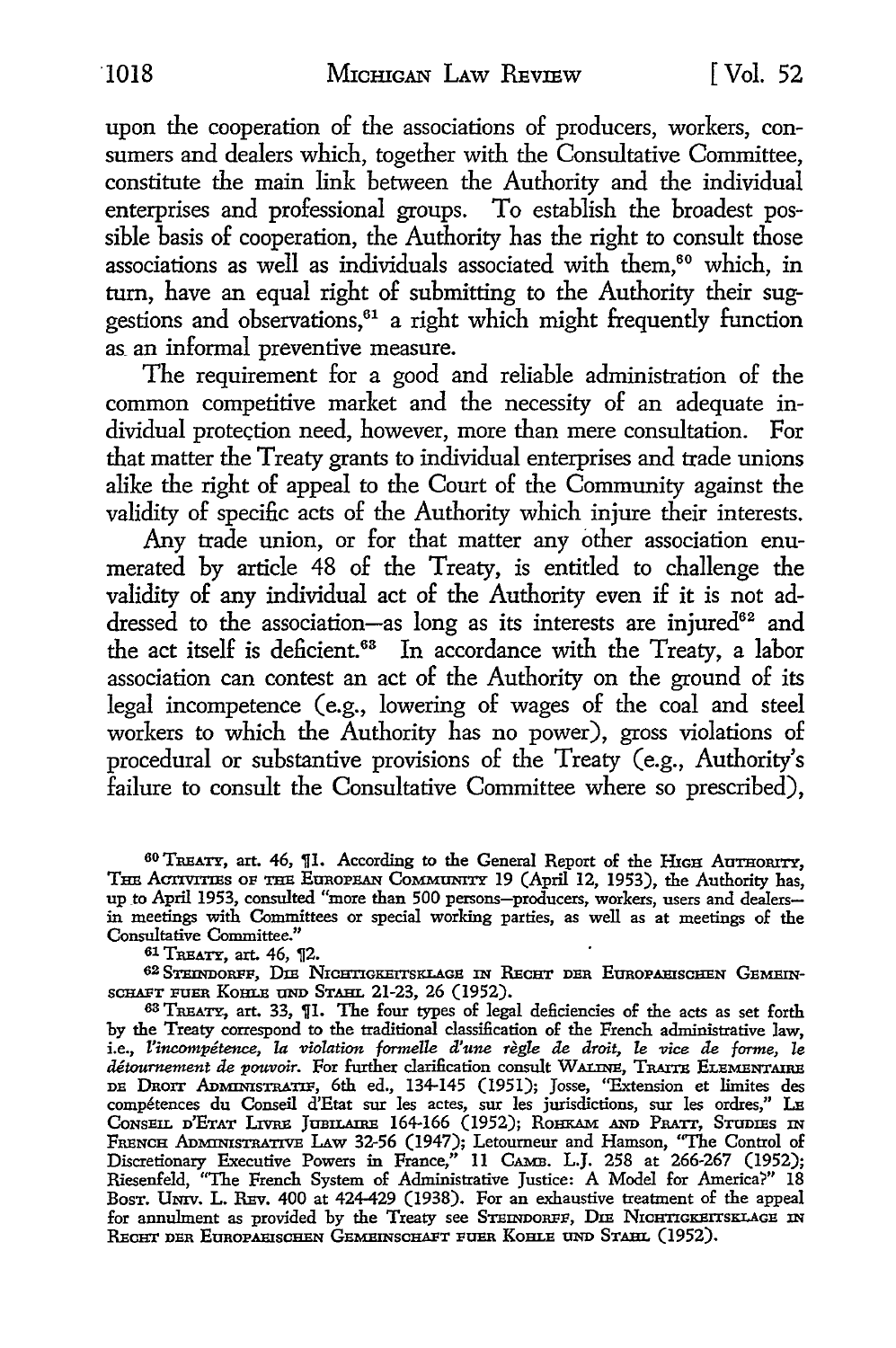upon the cooperation of the associations of producers, workers, consumers and dealers which, together with the Consultative Committee, constitute the main link between the Authority and the individual enterprises and professional groups. To establish the broadest possible basis of cooperation, the Authority has the right to consult those associations as well as individuals associated with them,<sup>60</sup> which, in turn, have an equal right of submitting to the Authority their suggestions and observations,<sup>61</sup> a right which might frequently function as an informal preventive measure.

The requirement for a good and reliable administration of the common competitive market and the necessity of an adequate individual protection need, however, more than mere consultation. For that matter the Treaty grants to individual enterprises and trade unions alike the right of appeal to the Court of the Community against the validity of specific acts of the Authority which injure their interests.

Any trade union, or for that matter any other association enumerated by article 48 of the Treaty, is entitled to challenge the validity of any individual act of the Authority even if it is not addressed to the association-as long as its interests are injured<sup>62</sup> and the act itself is deficient.<sup>63</sup> In accordance with the Treaty, a labor association can contest an act of the Authority on the ground of its legal incompetence (e.g., lowering of wages of the coal and steel workers to which the Authority has no power), gross violations of procedural or substantive provisions of the Treaty (e.g., Authority's failure to consult the Consultative Committee where so prescribed).

60 TREATY, art. 46, ill. According to the General Report of the HIGH AuTHoRITY, THE ACTIVITTES OF THE EUROPEAN COMMUNITY 19 (April 12, 1953), the Authority has, up to April 1953, consulted "more than 500 persons-producers, workers, users and dealersin meetings with Committees or special working parties, as well as at meetings of the Consultative Committee."

61 TREATY, art. 46, 12.

62 STEINDORFF, DIE NICHTIGKEITSKLAGE IN RECHT DER EUROPAEISCHEN GEMEIN-SCHAFT FUER KOHLE UND STAHL 21-23, 26 (1952).

63 TREATY, art. 33, JI. The four types of legal deficiencies of the acts as set forth by the Treaty correspond to the traditional classification of the French administrative law, i.e., *Z'incompetence, la violation formelle d'une regle de droit, le vice de f0r1ne, le*  détournement de pouvoir. For further clarification consult WALINE, TRAITE ELEMENTAIRE DE DRorr ADMINisTRATIF, 6th ed., 134-145 (1951); Josse, ''Extension et limites des compétences du Conseil d'Etat sur les actes, sur les jurisdictions, sur les ordres," L<del>u</del> Conseil d'Etat Livre Jubilaire 164-166 (1952); Rohkam and Pratt, Studies in FRENCH ADMINISTRATIVE LAw 32-56 (1947); Letoumeur and Hamson, "The Control of Discretionary Executive Powers in France," 11 CAMB. L.J. 258 at 266-267 (1952); Riesenfeld, ''The French System of Administrative Justice: A Model for America?" 18 BosT. Umv. L. REv. 400 at 424-429 (1938). For an exhaustive treatment of the appeal for annulment as provided by the Treaty see STEINDORFF, DIE NICHTIGKEITSKLAGE IN RECHT DER EUROPAHISCHEN GEMEINSCHAFT FUER KOHLE UND STAHL (1952).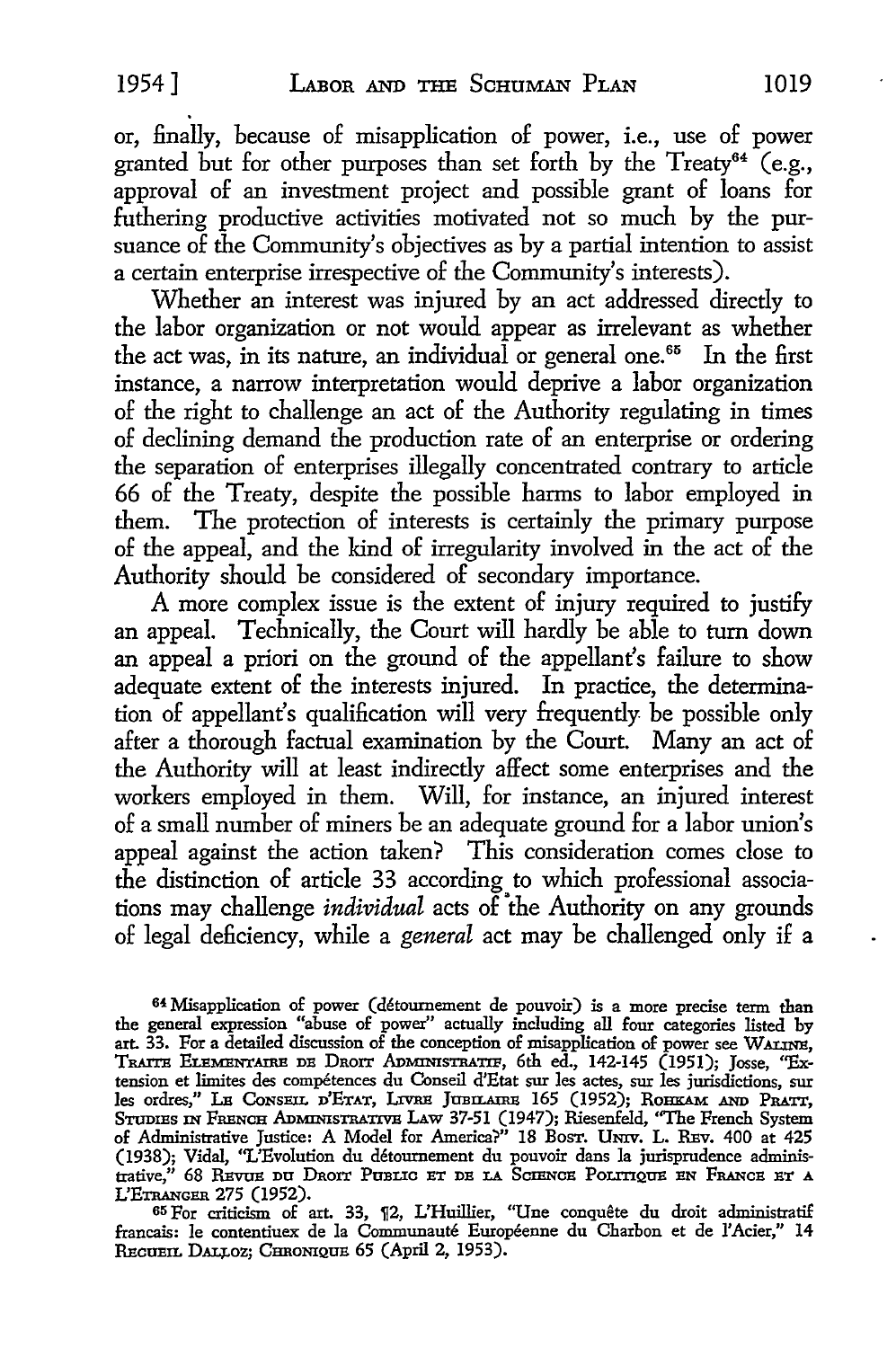or, finally, because of misapplication of power, i.e., use of power granted but for other purposes than set forth by the Treaty<sup>64</sup> (e.g., approval of an investment project and possible grant of loans for futhering productive activities motivated not so much by the pursuance of the Community's objectives as by a partial intention to assist a certain enterprise irrespective of the Community's interests).

Whether an interest was injured by an act addressed directly to the labor organization or not would appear as irrelevant as whether the act was, in its nature, an individual or general one.<sup>65</sup> In the first instance, a narrow interpretation would deprive a labor organization of the right to challenge an act of the Authority regulating in times of declining demand the production rate of an enterprise or ordering the separation of enterprises illegally concentrated contrary to article 66 of the Treaty, despite the possible harms to labor employed in them. The protection of interests is certainly the primary purpose of the appeal, and the kind of irregularity involved in the act of the Authority should be considered of secondary importance.

A more complex issue is the extent of injury required to justify an appeal. Technically, the Court will hardly be able to turn down an appeal a priori on the ground of the appellant's failure to show adequate extent of the interests injured. In practice, the determination of appellant's qualification will very frequently be possible only after a thorough factual examination by the Court. Many an act of the Authority will at least indirectly affect some enterprises and the workers employed in them. Will, for instance, an injured interest of a small number of miners be an adequate ground for a labor union's appeal against the action taken? This consideration comes close to the distinction of article 33 according to which professional associations may challenge *individual* acts of the Authority on any grounds of legal deficiency, while a *general* act may be challenged only if a

64 Misapplication of power (détournement de pouvoir) is a more precise term than the general expression "abuse of power" actually including all four categories listed by art. 33. For a detailed discussion of the conception of misapplication of power see WALINE, TRAITB ELEMENTAil\E DB DnoIT ADMINISTRATIP, 6th ed., 142-145 (1951); Josse, "Extension et limites des compétences du Conseil d'Etat sur les actes, sur les jurisdictions, sur les ordres," Le Conseil d'Etat, Livre Jubilaire 165 (1952); Rohkam and Pratt, Studies in French Administrative Law 37-51 (1947); Riesenfeld, "The French System of Administrative Justice: A Model for America?" 18 Bosr. UNIV. L. REV. 400 at 425 (1938); Vidal, ''L'Evolution du detoumement du pouvoir dans la jurisprudence administrative," 68 Revue du Droit Public et de la Science Politique en France et a L'ETRANGER 275 (1952).

65 For criticism of art. 33, ¶2, L'Huillier, "Une conquête du droit administratif francais: le contentiuex de la Communaute Europeenne du Charbon et de l'Acier," 14 RECUEIL DALLOZ; CHRONIQUE 65 (April 2, 1953).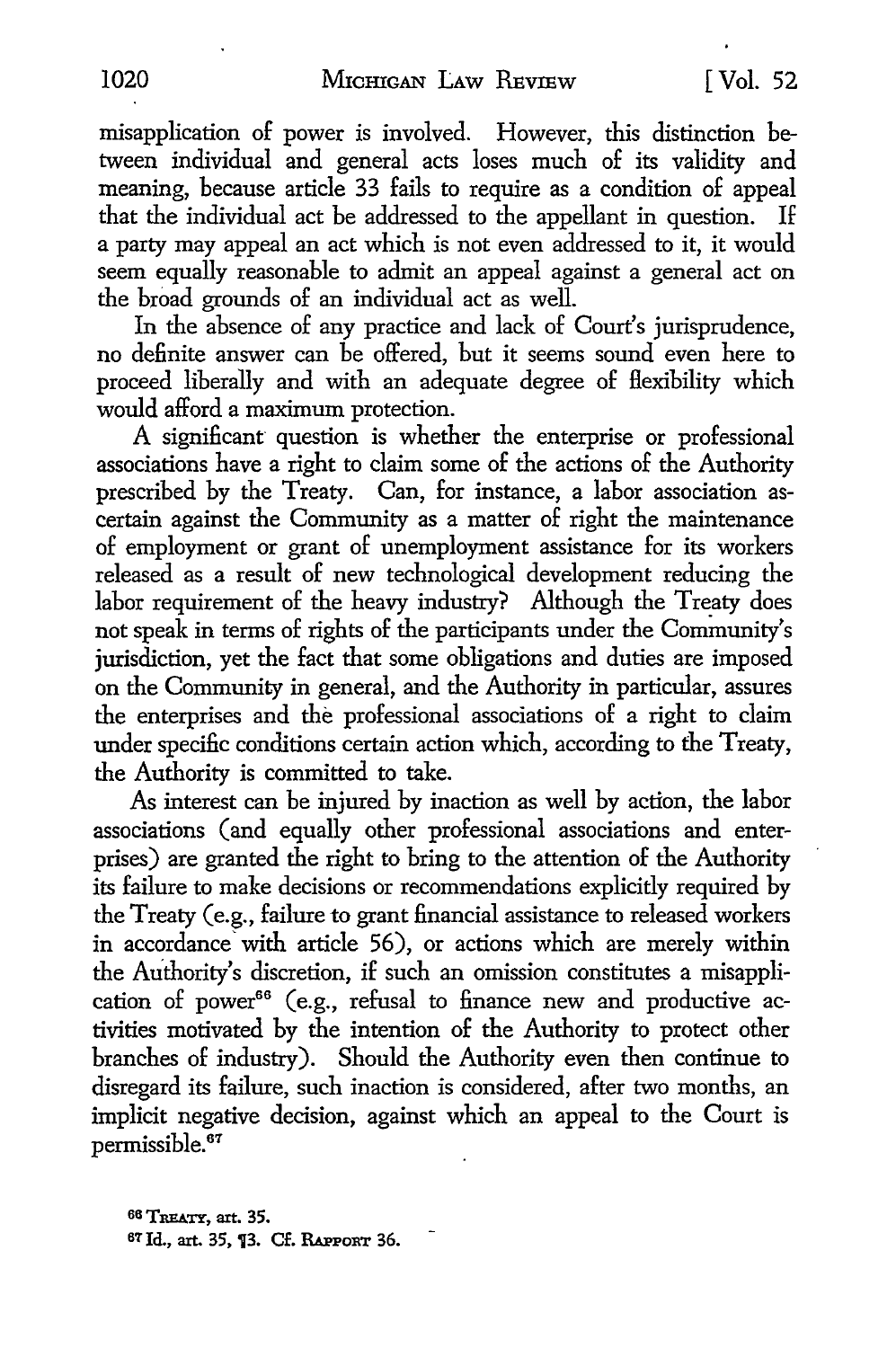misapplication of power is involved. However, this distinction between individual and general acts loses much of its validity and meaning, because article 33 fails to require as a condition of appeal that the individual act be addressed to the appellant in question. If a party may appeal an act which is not even addressed to it, it would seem equally reasonable to admit an appeal against a general act on the broad grounds of an individual act as well.

In the absence of any practice and lack of Court's jurisprudence, no definite answer can be offered, but it seems sound even here to proceed liberally and with an adequate degree of flexibility which would afford a maximum protection.

A significant question is whether the enterprise or professional associations have a right to claim some of the actions of the Authority prescribed by the Treaty. Can, for instance, a labor association ascertain against the Community as a matter of right the maintenance of employment or grant of unemployment assistance for its workers released as a result of new technological development reducing the labor requirement of the heavy industry? Although the Treaty does not speak in terms of rights of the participants under the Community's jurisdiction, yet the fact that some obligations and duties are imposed on the Community in general, and the Authority in particular, assures the enterprises and the professional associations of a right to claim under specilic conditions certain action which, according to the Treaty, the Authority is committed to take.

As interest can be injured by inaction as well by action, the labor associations (and equally other professional associations and enterprises) are granted the right to bring to the attention of the Authority its failure to make decisions or recommendations explicitly required by the Treaty (e.g., failure to grant financial assistance to released workers in accordance' with article 56), or actions which are merely within the Authority's discretion, if such an omission constitutes a misapplication of power $^{66}$  (e.g., refusal to finance new and productive activities motivated by the intention of the Authority to protect other branches of industry). Should the Authority even then continue to disregard its failure, such inaction is considered, after two months, an implicit negative decision, against which an appeal to the Court is permissible.<sup>67</sup>

 $66$  **TREATY**, art. 35. 67 Jd., art. 35, f3. Cf. RAPPORT 36.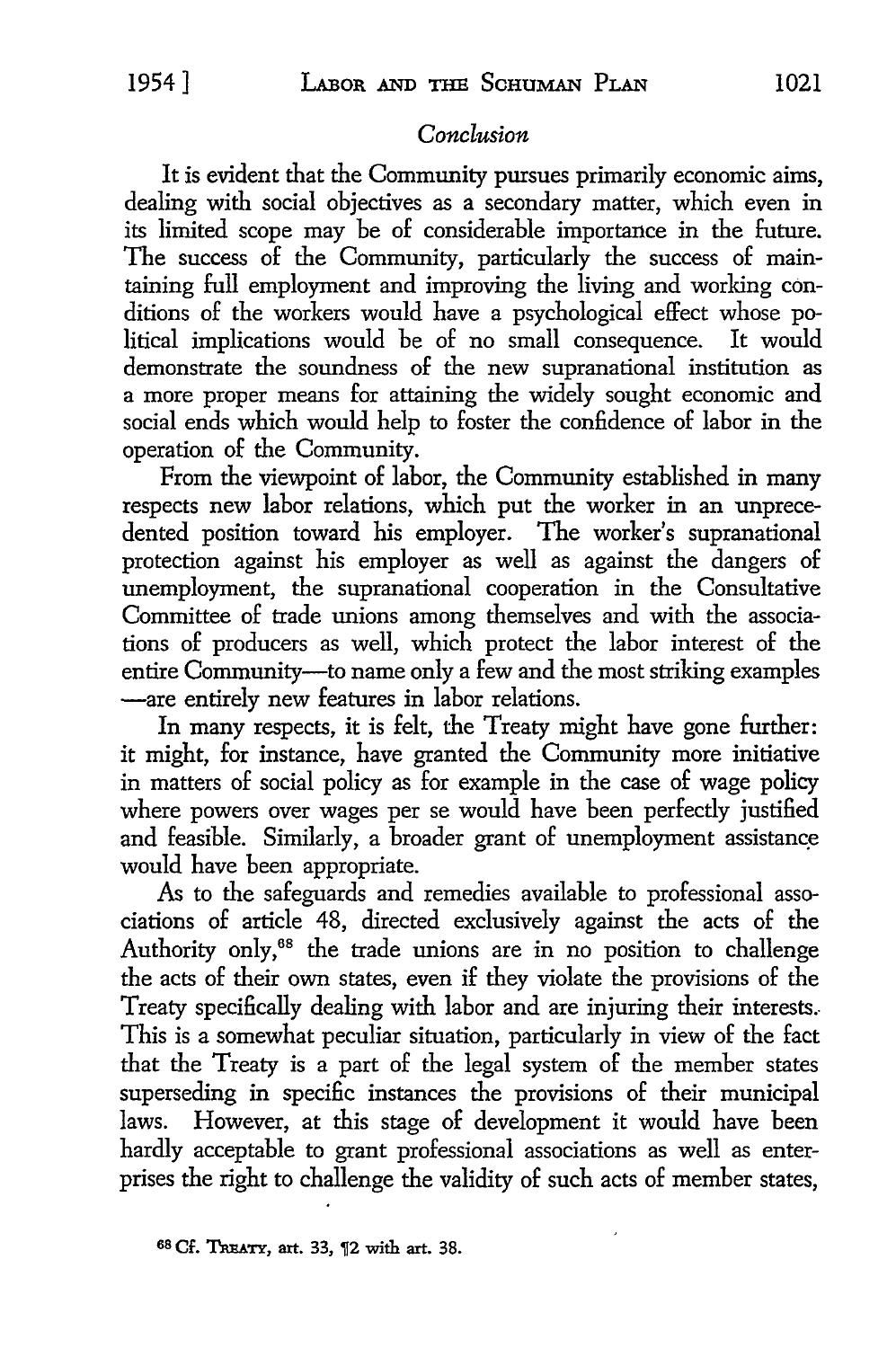# *Conclusion*

It is evident that the Community pursues primarily economic aims, dealing with social objectives as a secondary matter, which even in its limited scope may be of considerable importance in the future. The success of the Community, particularly the success of maintaining full employment and improving the living and working conditions of the workers would have a psychological effect whose political implications would be of no small consequence. It would demonstrate the soundness of the new supranational institution as a more proper means for attaining the widely sought economic and social ends which would help to foster the confidence of labor in the operation of the Community.

From the viewpoint of labor, the Community established in many respects new labor relations, which put the worker in an unprecedented position toward his employer. The worker's supranational protection against his employer as well as against the dangers of unemployment, the supranational cooperation in the Consultative Committee of trade unions among themselves and with the associations of producers as well, which protect the labor interest of the entire Community--- to name only a few and the most striking examples -are entirely new features in labor relations.

In many respects, it is felt, the Treaty might have gone further: it might, for instance, have granted the Community more initiative in matters of social policy as for example in the case of wage policy where powers over wages per se would have been perfectly justified and feasible. Similarly, a broader grant of unemployment assistance would have been appropriate.

As to the safeguards and remedies available to professional associations of article 48, directed exclusively against the acts of the Authority only,<sup>68</sup> the trade unions are in no position to challenge the acts of their own states, even if they violate the provisions of the Treaty specifically dealing with labor and are injuring their interests. This is a somewhat peculiar situation, particularly in view of the fact that the Treaty is a part of the legal system of the member states superseding in specific instances the provisions of their municipal laws. However, at this stage of development it would have been hardly acceptable to grant professional associations as well as enterprises the right to challenge the validity of such acts of member states,